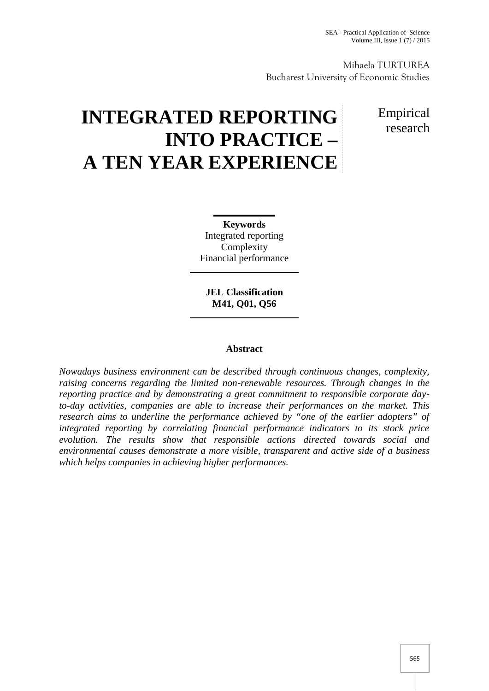Mihaela TURTUREA Bucharest University of Economic Studies

# **INTEGRATED REPORTING INTO PRACTICE – A TEN YEAR EXPERIENCE**

# Empirical research

**Keywords** Integrated reporting Complexity Financial performance

**JEL Classification M41, Q01, Q56**

## **Abstract**

*Nowadays business environment can be described through continuous changes, complexity, raising concerns regarding the limited non-renewable resources. Through changes in the reporting practice and by demonstrating a great commitment to responsible corporate dayto-day activities, companies are able to increase their performances on the market. This research aims to underline the performance achieved by "one of the earlier adopters" of integrated reporting by correlating financial performance indicators to its stock price evolution. The results show that responsible actions directed towards social and environmental causes demonstrate a more visible, transparent and active side of a business which helps companies in achieving higher performances.*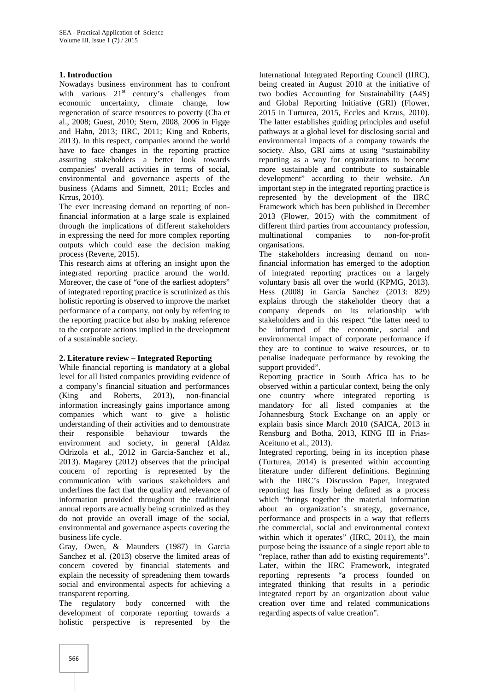#### **1. Introduction**

Nowadays business environment has to confront with various  $21<sup>st</sup>$  century's challenges from economic uncertainty, climate change, low regeneration of scarce resources to poverty (Cha et al., 2008; Guest, 2010; Stern, 2008, 2006 in Figge and Hahn, 2013; IIRC, 2011; King and Roberts, 2013). In this respect, companies around the world have to face changes in the reporting practice assuring stakeholders a better look towards companies' overall activities in terms of social, environmental and governance aspects of the business (Adams and Simnett, 2011; Eccles and Krzus, 2010).

The ever increasing demand on reporting of nonfinancial information at a large scale is explained through the implications of different stakeholders in expressing the need for more complex reporting outputs which could ease the decision making process (Reverte, 2015).

This research aims at offering an insight upon the integrated reporting practice around the world. Moreover, the case of "one of the earliest adopters" of integrated reporting practice is scrutinized as this holistic reporting is observed to improve the market performance of a company, not only by referring to the reporting practice but also by making reference to the corporate actions implied in the development of a sustainable society.

# **2. Literature review – Integrated Reporting**

While financial reporting is mandatory at a global level for all listed companies providing evidence of a company's financial situation and performances (King and Roberts, 2013), non-financial information increasingly gains importance among companies which want to give a holistic understanding of their activities and to demonstrate their responsible behaviour towards the environment and society, in general (Aldaz Odrizola et al., 2012 in Garcia-Sanchez et al., 2013). Magarey (2012) observes that the principal concern of reporting is represented by the communication with various stakeholders and underlines the fact that the quality and relevance of information provided throughout the traditional annual reports are actually being scrutinized as they do not provide an overall image of the social, environmental and governance aspects covering the business life cycle.

Gray, Owen, & Maunders (1987) in Garcia Sanchez et al. (2013) observe the limited areas of concern covered by financial statements and explain the necessity of spreadening them towards social and environmental aspects for achieving a transparent reporting.

The regulatory body concerned with the development of corporate reporting towards a holistic perspective is represented by the

International Integrated Reporting Council (IIRC), being created in August 2010 at the initiative of two bodies Accounting for Sustainability (A4S) and Global Reporting Initiative (GRI) (Flower, 2015 in Turturea, 2015, Eccles and Krzus, 2010). The latter establishes guiding principles and useful pathways at a global level for disclosing social and environmental impacts of a company towards the society. Also, GRI aims at using "sustainability reporting as a way for organizations to become more sustainable and contribute to sustainable development" according to their website. An important step in the integrated reporting practice is represented by the development of the IIRC Framework which has been published in December 2013 (Flower, 2015) with the commitment of different third parties from accountancy profession, companies to non-for-profit organisations.

The stakeholders increasing demand on nonfinancial information has emerged to the adoption of integrated reporting practices on a largely voluntary basis all over the world (KPMG, 2013). Hess (2008) in Garcia Sanchez (2013: 829) explains through the stakeholder theory that a company depends on its relationship with stakeholders and in this respect "the latter need to be informed of the economic, social and environmental impact of corporate performance if they are to continue to waive resources, or to penalise inadequate performance by revoking the support provided".

Reporting practice in South Africa has to be observed within a particular context, being the only one country where integrated reporting is mandatory for all listed companies at the Johannesburg Stock Exchange on an apply or explain basis since March 2010 (SAICA, 2013 in Rensburg and Botha, 2013, KING III in Frias- Aceituno et al., 2013).

Integrated reporting, being in its inception phase (Turturea, 2014) is presented within accounting literature under different definitions. Beginning with the IIRC's Discussion Paper, integrated reporting has firstly being defined as a process which "brings together the material information about an organization's strategy, governance, performance and prospects in a way that reflects the commercial, social and environmental context within which it operates" (IIRC, 2011), the main purpose being the issuance of a single report able to "replace, rather than add to existing requirements". Later, within the IIRC Framework, integrated reporting represents "a process founded on integrated thinking that results in a periodic integrated report by an organization about value creation over time and related communications regarding aspects of value creation".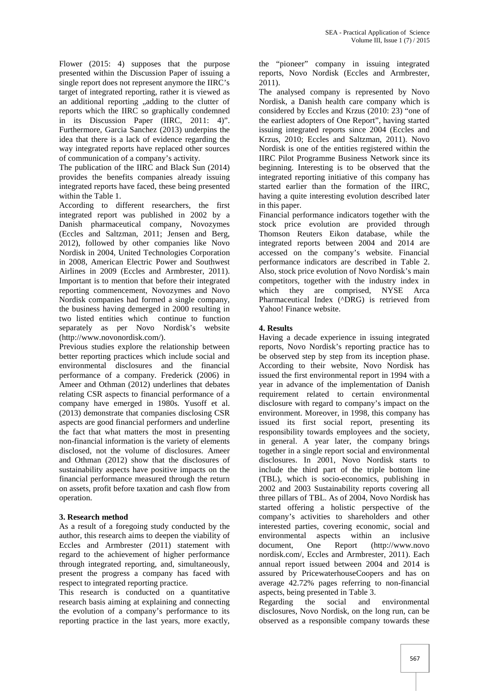Flower (2015: 4) supposes that the purpose presented within the Discussion Paper of issuing a single report does not represent anymore the IIRC's target of integrated reporting, rather it is viewed as an additional reporting "adding to the clutter of reports which the IIRC so graphically condemned in its Discussion Paper (IIRC, 2011: 4)". Furthermore, Garcia Sanchez (2013) underpins the idea that there is a lack of evidence regarding the way integrated reports have replaced other sources of communication of a company's activity.

The publication of the IIRC and Black Sun (2014) provides the benefits companies already issuing integrated reports have faced, these being presented within the Table 1.

According to different researchers, the first integrated report was published in 2002 by a Danish pharmaceutical company, Novozymes (Eccles and Saltzman, 2011; Jensen and Berg, 2012), followed by other companies like Novo Nordisk in 2004, United Technologies Corporation in 2008, American Electric Power and Southwest Airlines in 2009 (Eccles and Armbrester, 2011). Important is to mention that before their integrated reporting commencement, Novozymes and Novo Nordisk companies had formed a single company, the business having demerged in 2000 resulting in two listed entities which continue to function separately as per Novo Nordisk's website (http://www.novonordisk.com/).

Previous studies explore the relationship between better reporting practices which include social and environmental disclosures and the financial performance of a company. Frederick (2006) in Ameer and Othman (2012) underlines that debates relating CSR aspects to financial performance of a company have emerged in 1980s. Yusoff et al. (2013) demonstrate that companies disclosing CSR aspects are good financial performers and underline the fact that what matters the most in presenting non-financial information is the variety of elements disclosed, not the volume of disclosures. Ameer and Othman (2012) show that the disclosures of sustainability aspects have positive impacts on the financial performance measured through the return on assets, profit before taxation and cash flow from operation.

#### **3. Research method**

As a result of a foregoing study conducted by the author, this research aims to deepen the viability of Eccles and Armbrester (2011) statement with document, regard to the achievement of higher performance through integrated reporting, and, simultaneously, present the progress a company has faced with respect to integrated reporting practice.

This research is conducted on a quantitative research basis aiming at explaining and connecting the evolution of a company's performance to its reporting practice in the last years, more exactly,

the "pioneer" company in issuing integrated reports, Novo Nordisk (Eccles and Armbrester, 2011).

The analysed company is represented by Novo Nordisk, a Danish health care company which is considered by Eccles and Krzus (2010: 23) "one of the earliest adopters of One Report", having started issuing integrated reports since 2004 (Eccles and Krzus, 2010; Eccles and Saltzman, 2011). Novo Nordisk is one of the entities registered within the IIRC Pilot Programme Business Network since its beginning. Interesting is to be observed that the integrated reporting initiative of this company has started earlier than the formation of the IIRC, having a quite interesting evolution described later in this paper.

Financial performance indicators together with the stock price evolution are provided through Thomson Reuters Eikon database, while the integrated reports between 2004 and 2014 are accessed on the company's website. Financial performance indicators are described in Table 2. Also, stock price evolution of Novo Nordisk's main competitors, together with the industry index in are comprised, NYSE Arca Pharmaceutical Index (^DRG) is retrieved from Yahoo! Finance website.

#### **4. Results**

Having a decade experience in issuing integrated reports, Novo Nordisk's reporting practice has to be observed step by step from its inception phase. According to their website, Novo Nordisk has issued the first environmental report in 1994 with a year in advance of the implementation of Danish requirement related to certain environmental disclosure with regard to company's impact on the environment. Moreover, in 1998, this company has issued its first social report, presenting its responsibility towards employees and the society, in general. A year later, the company brings together in a single report social and environmental disclosures. In 2001, Novo Nordisk starts to include the third part of the triple bottom line (TBL), which is socio-economics, publishing in 2002 and 2003 Sustainability reports covering all three pillars of TBL. As of 2004, Novo Nordisk has started offering a holistic perspective of the company's activities to shareholders and other interested parties, covering economic, social and environmental aspects within an inclusive One Report (http://www.novo nordisk.com/, Eccles and Armbrester, 2011). Each annual report issued between 2004 and 2014 is assured by PricewaterhouseCoopers and has on average 42.72% pages referring to non-financial aspects, being presented in Table 3.

the social and environmental disclosures, Novo Nordisk, on the long run, can be observed as a responsible company towards these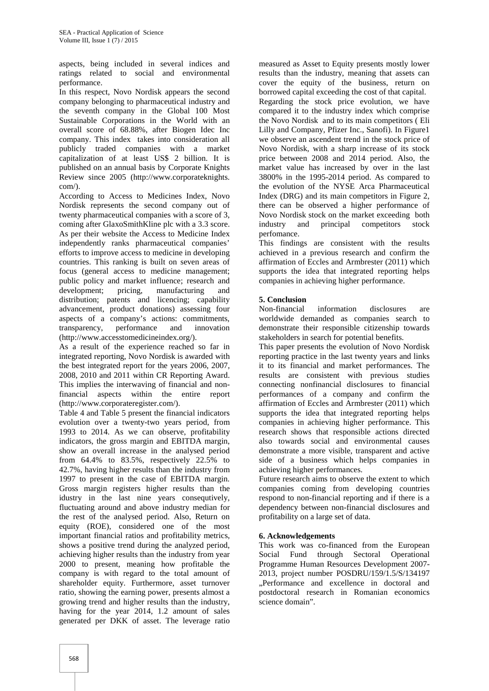aspects, being included in several indices and ratings related to social and environmental performance.

In this respect, Novo Nordisk appears the second company belonging to pharmaceutical industry and the seventh company in the Global 100 Most Sustainable Corporations in the World with an overall score of 68.88%, after Biogen Idec Inc company. This index takes into consideration all publicly traded companies with a market capitalization of at least US\$ 2 billion. It is published on an annual basis by Corporate Knights Review since 2005 (http://www.corporateknights. com/).

According to Access to Medicines Index, Novo Nordisk represents the second company out of twenty pharmaceutical companies with a score of 3, coming after GlaxoSmithKline plc with a 3.3 score. As per their website the Access to Medicine Index independently ranks pharmaceutical companies' efforts to improve access to medicine in developing countries. This ranking is built on seven areas of focus (general access to medicine management; public policy and market influence; research and development; pricing, manufacturing and distribution; patents and licencing; capability advancement, product donations) assessing four aspects of a company's actions: commitments,<br>transparency, performance and innovation transparency, performance and innovation (http://www.accesstomedicineindex.org/).

As a result of the experience reached so far in integrated reporting, Novo Nordisk is awarded with the best integrated report for the years 2006, 2007, 2008, 2010 and 2011 within CR Reporting Award. This implies the interwaving of financial and nonfinancial aspects within the entire report (http://www.corporateregister.com/).

Table 4 and Table 5 present the financial indicators evolution over a twenty-two years period, from 1993 to 2014. As we can observe, profitability indicators, the gross margin and EBITDA margin, show an overall increase in the analysed period from 64.4% to 83.5%, respectively 22.5% to 42.7%, having higher results than the industry from 1997 to present in the case of EBITDA margin. Gross margin registers higher results than the idustry in the last nine years consequtively, fluctuating around and above industry median for the rest of the analysed period. Also, Return on equity (ROE), considered one of the most important financial ratios and profitability metrics, shows a positive trend during the analyzed period, achieving higher results than the industry from year 2000 to present, meaning how profitable the company is with regard to the total amount of shareholder equity. Furthermore, asset turnover ratio, showing the earning power, presents almost a growing trend and higher results than the industry, having for the year 2014, 1.2 amount of sales generated per DKK of asset. The leverage ratio

measured as Asset to Equity presents mostly lower results than the industry, meaning that assets can cover the equity of the business, return on borrowed capital exceeding the cost of that capital. Regarding the stock price evolution, we have compared it to the industry index which comprise the Novo Nordisk and to its main competitors ( Eli Lilly and Company, Pfizer Inc., Sanofi). In Figure1 we observe an ascendent trend in the stock price of Novo Nordisk, with a sharp increase of its stock price between 2008 and 2014 period. Also, the market value has increased by over in the last 3800% in the 1995-2014 period. As compared to the evolution of the NYSE Arca Pharmaceutical Index (DRG) and its main competitors in Figure 2, there can be observed a higher performance of Novo Nordisk stock on the market exceeding both industry and principal competitors stock perfomance.

This findings are consistent with the results achieved in a previous research and confirm the affirmation of Eccles and Armbrester (2011) which supports the idea that integrated reporting helps companies in achieving higher performance.

#### **5. Conclusion**

Non-financial information disclosures are worldwide demanded as companies search to demonstrate their responsible citizenship towards stakeholders in search for potential benefits.

This paper presents the evolution of Novo Nordisk reporting practice in the last twenty years and links it to its financial and market performances. The results are consistent with previous studies connecting nonfinancial disclosures to financial performances of a company and confirm the affirmation of Eccles and Armbrester (2011) which supports the idea that integrated reporting helps companies in achieving higher performance. This research shows that responsible actions directed also towards social and environmental causes demonstrate a more visible, transparent and active side of a business which helps companies in achieving higher performances.

Future research aims to observe the extent to which companies coming from developing countries respond to non-financial reporting and if there is a dependency between non-financial disclosures and profitability on a large set of data.

#### **6. Acknowledgements**

This work was co-financed from the European Social Fund through Sectoral Operational Programme Human Resources Development 2007- 2013, project number POSDRU/159/1.5/S/134197 ..Performance and excellence in doctoral and postdoctoral research in Romanian economics science domain".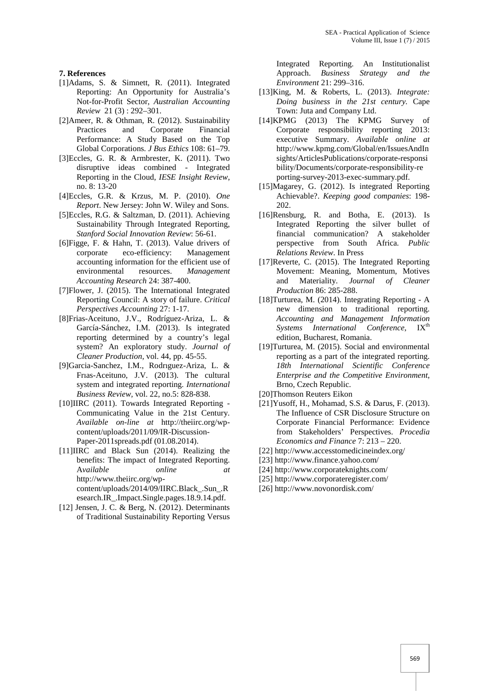**7. References**

- [1]Adams, S. & Simnett, R. (2011). Integrated Reporting: An Opportunity for Australia's Not-for-Profit Sector, *Australian Accounting Review* 21 (3) : 292–301.
- [2]Ameer, R. & Othman, R. (2012). Sustainability and Corporate Financial Performance: A Study Based on the Top Global Corporations. *J Bus Ethics* 108: 61–79.
- [3]Eccles, G. R. & Armbrester, K. (2011). Two disruptive ideas combined - Integrated Reporting in the Cloud, *IESE Insight Review*, no. 8: 13-20
- [4]Eccles, G.R. & Krzus, M. P. (2010). *One Report*. New Jersey: John W. Wiley and Sons.
- [5]Eccles, R.G. & Saltzman, D. (2011). Achieving Sustainability Through Integrated Reporting, *Stanford Social Innovation Review*: 56-61.
- [6]Figge, F. & Hahn, T. (2013). Value drivers of corporate eco-efficiency: Management accounting information for the efficient use of environmental resources. *Management Accounting Research* 24: 387-400.
- [7]Flower, J. (2015). The International Integrated Reporting Council: A story of failure. *Critical Perspectives Accounting* 27: 1-17.
- [8]Frias-Aceituno, J.V., Rodríguez-Ariza, L. & García-Sánchez, I.M. (2013). Is integrated reporting determined by a country's legal system? An exploratory study. *Journal of Cleaner Production,* vol. 44, pp. 45-55.
- [9]Garcia-Sanchez, I.M., Rodrıguez-Ariza, L. & Frıas-Aceituno, J.V. (2013). The cultural system and integrated reporting. *International Business Review,* vol. 22, no.5: 828-838.
- [10]IIRC (2011). Towards Integrated Reporting -Communicating Value in the 21st Century. *Available on-line at* http://theiirc.org/wp content/uploads/2011/09/IR-Discussion- Paper-2011spreads.pdf (01.08.2014).

[11]IIRC and Black Sun (2014). Realizing the benefits: The impact of Integrated Reporting. A*vailable online at* http://www.theiirc.org/wp content/uploads/2014/09/IIRC.Black\_.Sun\_.R esearch.IR\_.Impact.Single.pages.18.9.14.pdf.

[12] Jensen, J. C. & Berg, N. (2012). Determinants of Traditional Sustainability Reporting Versus

Integrated Reporting. An Institutionalist Approach. *Business Strategy and the Environment* 21: 299–316.

- [13]King, M. & Roberts, L. (2013). *Integrate: Doing business in the 21st century.* Cape Town: Juta and Company Ltd.
- [14]KPMG (2013) The KPMG Survey of Corporate responsibility reporting 2013: executive Summary. *Available online at* http://www.kpmg.com/Global/en/IssuesAndIn sights/ArticlesPublications/corporate-responsi bility/Documents/corporate-responsibility-re porting-survey-2013-exec-summary.pdf.
- [15]Magarey, G. (2012). Is integrated Reporting Achievable?. *Keeping good companies*: 198- 202.
- [16]Rensburg, R. and Botha, E. (2013). Is Integrated Reporting the silver bullet of financial communication? A stakeholder perspective from South Africa*. Public Relations Review*. In Press
- [17]Reverte, C. (2015). The Integrated Reporting Movement: Meaning, Momentum, Motives and Materiality. *Journal of Cleaner Production* 86: 285-288.
- [18]Turturea, M. (2014). Integrating Reporting A new dimension to traditional reporting. *Accounting and Management Information Systems International Conference*, IX<sup>th</sup> edition, Bucharest, Romania.
- [19]Turturea, M. (2015). Social and environmental reporting as a part of the integrated reporting. *18th International Scientific Conference Enterprise and the Competitive Environment*, Brno, Czech Republic.
- [20]Thomson Reuters Eikon
- [21]Yusoff, H., Mohamad, S.S. & Darus, F. (2013). The Influence of CSR Disclosure Structure on Corporate Financial Performance: Evidence from Stakeholders' Perspectives. *Procedia Economics and Finance* 7: 213 – 220.
- [22] http://www.accesstomedicineindex.org/
- [23] http://www.finance.yahoo.com/
- [24] http://www.corporateknights.com/
- [25] http://www.corporateregister.com/
- [26] http://www.novonordisk.com/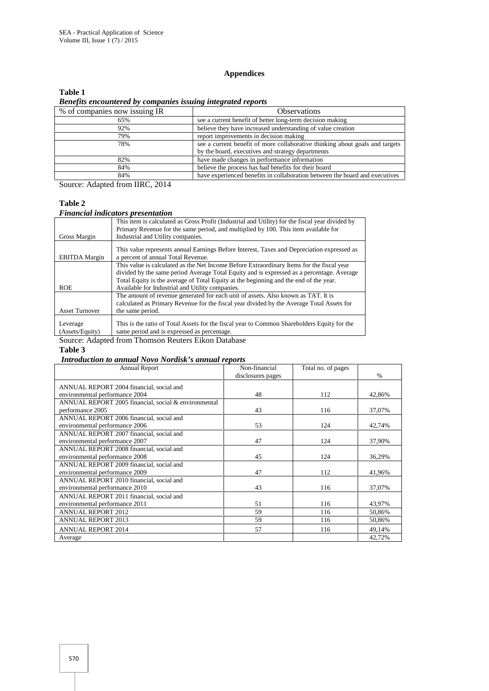#### **Appendices**

#### **Table 1**

*Benefits encountered by companies issuing integrated reports*

| % of companies now issuing IR | <b>Observations</b>                                                          |
|-------------------------------|------------------------------------------------------------------------------|
| 65%                           | see a current benefit of better long-term decision making                    |
| 92%                           | believe they have increased understanding of value creation                  |
| 79%                           | report improvements in decision making                                       |
| 78%                           | see a current benefit of more collaborative thinking about goals and targets |
|                               | by the board, executives and strategy departments                            |
| 82%                           | have made changes in performance information                                 |
| 84%                           | believe the process has had benefits for their board                         |
| 84%                           | have experienced benefits in collaboration between the board and executives  |

Source: Adapted from IIRC, 2014

#### **Table 2**

#### *Financial indicators presentation*

|                             | This item is calculated as Gross Profit (Industrial and Utility) for the fiscal year divided by<br>Primary Revenue for the same period, and multiplied by 100. This item available for |
|-----------------------------|----------------------------------------------------------------------------------------------------------------------------------------------------------------------------------------|
| Gross Margin                | Industrial and Utility companies.                                                                                                                                                      |
| <b>EBITDA</b> Margin        | This value represents annual Earnings Before Interest, Taxes and Depreciation expressed as<br>a percent of annual Total Revenue.                                                       |
|                             | This value is calculated as the Net Income Before Extraordinary Items for the fiscal year                                                                                              |
|                             | divided by the same period Average Total Equity and is expressed as a percentage. Average                                                                                              |
|                             | Total Equity is the average of Total Equity at the beginning and the end of the year.                                                                                                  |
| <b>ROE</b>                  | Available for Industrial and Utility companies.                                                                                                                                        |
|                             | The amount of revenue generated for each unit of assets. Also known as TAT. It is                                                                                                      |
|                             | calculated as Primary Revenue for the fiscal year divided by the Average Total Assets for                                                                                              |
| <b>Asset Turnover</b>       | the same period.                                                                                                                                                                       |
| Leverage<br>(Assets/Equity) | This is the ratio of Total Assets for the fiscal year to Common Shareholders Equity for the<br>same period and is expressed as percentage.                                             |
|                             |                                                                                                                                                                                        |

Source: Adapted from Thomson Reuters Eikon Database

#### **Table 3**

#### *Introduction to annual Novo Nordisk's annual reports*

| <b>Annual Report</b>                                 | Non-financial     | Total no. of pages |        |
|------------------------------------------------------|-------------------|--------------------|--------|
|                                                      | disclosures pages |                    | $\%$   |
| ANNUAL REPORT 2004 financial, social and             |                   |                    |        |
| environmental performance 2004                       | 48                | 112                | 42,86% |
| ANNUAL REPORT 2005 financial, social & environmental |                   |                    |        |
| performance 2005                                     | 43                | 116                | 37,07% |
| ANNUAL REPORT 2006 financial, social and             |                   |                    |        |
| environmental performance 2006                       | 53                | 124                | 42,74% |
| ANNUAL REPORT 2007 financial, social and             |                   |                    |        |
| environmental performance 2007                       | 47                | 124                | 37,90% |
| ANNUAL REPORT 2008 financial, social and             |                   |                    |        |
| environmental performance 2008                       | 45                | 124                | 36,29% |
| ANNUAL REPORT 2009 financial, social and             |                   |                    |        |
| environmental performance 2009                       | 47                | 112                | 41,96% |
| ANNUAL REPORT 2010 financial, social and             |                   |                    |        |
| environmental performance 2010                       | 43                | 116                | 37,07% |
| ANNUAL REPORT 2011 financial, social and             |                   |                    |        |
| environmental performance 2011                       | 51                | 116                | 43,97% |
| <b>ANNUAL REPORT 2012</b>                            | 59                | 116                | 50,86% |
| <b>ANNUAL REPORT 2013</b>                            | 59                | 116                | 50,86% |
| <b>ANNUAL REPORT 2014</b>                            | 57                | 116                | 49,14% |
| Average                                              |                   |                    | 42,72% |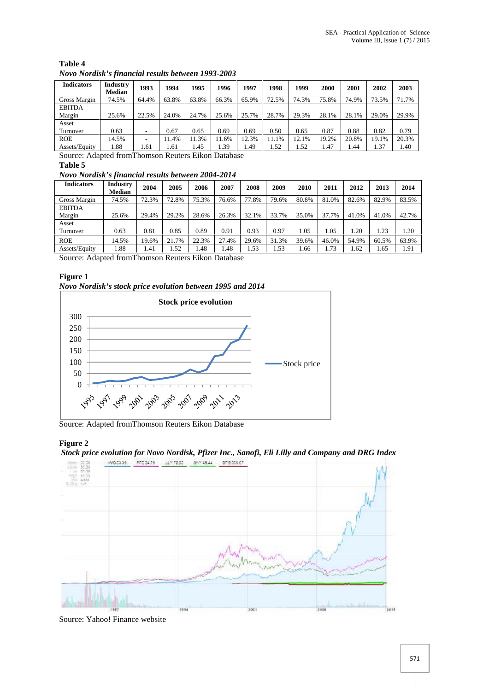| Table 4                                            |  |
|----------------------------------------------------|--|
| Novo Nordisk's financial results between 1993-2003 |  |

| <b>Indicators</b> | Industry<br><b>Median</b> | 1993  | 1994  | 1995  | 1996  | 1997  | 1998  | 1999  | 2000  | 2001  | 2002  | 2003  |
|-------------------|---------------------------|-------|-------|-------|-------|-------|-------|-------|-------|-------|-------|-------|
| Gross Margin      | 74.5%                     | 64.4% | 63.8% | 63.8% | 66.3% | 65.9% | 72.5% | 74.3% | 75.8% | 74.9% | 73.5% | 71.7% |
| <b>EBITDA</b>     |                           |       |       |       |       |       |       |       |       |       |       |       |
| Margin            | 25.6%                     | 22.5% | 24.0% | 24.7% | 25.6% | 25.7% | 28.7% | 29.3% | 28.1% | 28.1% | 29.0% | 29.9% |
| Asset             |                           |       |       |       |       |       |       |       |       |       |       |       |
| Turnover          | 0.63                      |       | 0.67  | 0.65  | 0.69  | 0.69  | 0.50  | 0.65  | 0.87  | 0.88  | 0.82  | 0.79  |
| <b>ROE</b>        | 14.5%                     |       | 1.4%  | 1.3%  | 11.6% | 12.3% | 11.1% | 12.1% | 19.2% | 20.8% | 19.1% | 20.3% |
| Assets/Equity     | 1.88                      | 1.61  | .61   | 1.45  | 1.39  | 1.49  | 1.52  | 1.52  | 1.47  | . 44  | 1.37  | 1.40  |

Source: Adapted fromThomson Reuters Eikon Database

# **Table 5**

### *Novo Nordisk's financial results between 2004-2014*

| <b>Indicators</b> | Industry<br><b>Median</b> | 2004  | 2005  | 2006  | 2007  | 2008  | 2009  | 2010  | 2011  | 2012  | 2013  | 2014  |
|-------------------|---------------------------|-------|-------|-------|-------|-------|-------|-------|-------|-------|-------|-------|
|                   |                           |       |       |       |       |       |       |       |       |       |       |       |
| Gross Margin      | 74.5%                     | 72.3% | 72.8% | 75.3% | 76.6% | 77.8% | 79.6% | 80.8% | 81.0% | 82.6% | 82.9% | 83.5% |
| <b>EBITDA</b>     |                           |       |       |       |       |       |       |       |       |       |       |       |
| Margin            | 25.6%                     | 29.4% | 29.2% | 28.6% | 26.3% | 32.1% | 33.7% | 35.0% | 37.7% | 41.0% | 41.0% | 42.7% |
| Asset             |                           |       |       |       |       |       |       |       |       |       |       |       |
| Turnover          | 0.63                      | 0.81  | 0.85  | 0.89  | 0.91  | 0.93  | 0.97  | 1.05  | 1.05  | 1.20  | 1.23  | 1.20  |
| <b>ROE</b>        | 14.5%                     | 19.6% | 21.7% | 22.3% | 27.4% | 29.6% | 31.3% | 39.6% | 46.0% | 54.9% | 60.5% | 63.9% |
| Assets/Equity     | .88                       | 1.41  | 1.52  | 1.48  | 1.48  | 1.53  | 1.53  | 1.66  | 1.73  | 1.62  | 1.65  | 1.91  |

Source: Adapted fromThomson Reuters Eikon Database

#### **Figure 1**

# *Novo Nordisk's stock price evolution between 1995 and 2014*



Source: Adapted fromThomson Reuters Eikon Database

#### **Figure 2**

#### *Stock price evolution for Novo Nordisk, Pfizer Inc., Sanofi, Eli Lilly and Company and DRG Index*



Source: Yahoo! Finance website